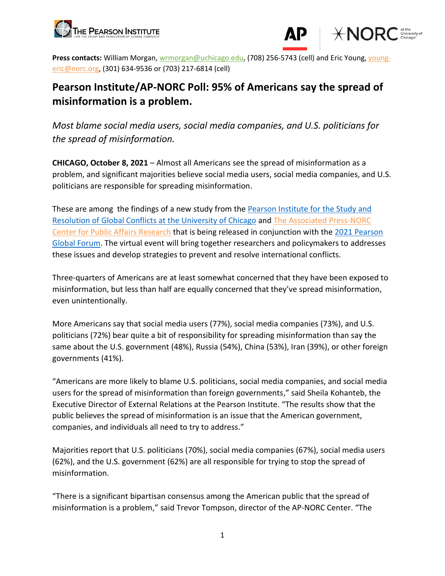



**Press contacts:** William Morgan, [wrmorgan@uchicago.edu,](mailto:wrmorgan@uchicago.edu) (708) 256-5743 (cell) and Eric Young, [young](mailto:young-eric@norc.org)[eric@norc.org,](mailto:young-eric@norc.org) (301) 634-9536 or (703) 217-6814 (cell)

# **Pearson Institute/AP-NORC Poll: 95% of Americans say the spread of misinformation is a problem.**

*Most blame social media users, social media companies, and U.S. politicians for the spread of misinformation.* 

**CHICAGO, October 8, 2021** – Almost all Americans see the spread of misinformation as a problem, and significant majorities believe social media users, social media companies, and U.S. politicians are responsible for spreading misinformation.

These are among the findings of a new study from the [Pearson Institute for the Study and](https://thepearsoninstitute.org/)  [Resolution of Global Conflicts at the University of Chicago](https://thepearsoninstitute.org/) and [The Associated Press-NORC](http://www.apnorc.org/)  [Center for Public Affairs Research](http://www.apnorc.org/) that is being released in conjunction with the [2021 Pearson](https://thepearsoninstitute.org/globalforum2021)  [Global Forum.](https://thepearsoninstitute.org/globalforum2021) The virtual event will bring together researchers and policymakers to addresses these issues and develop strategies to prevent and resolve international conflicts.

Three-quarters of Americans are at least somewhat concerned that they have been exposed to misinformation, but less than half are equally concerned that they've spread misinformation, even unintentionally.

More Americans say that social media users (77%), social media companies (73%), and U.S. politicians (72%) bear quite a bit of responsibility for spreading misinformation than say the same about the U.S. government (48%), Russia (54%), China (53%), Iran (39%), or other foreign governments (41%).

"Americans are more likely to blame U.S. politicians, social media companies, and social media users for the spread of misinformation than foreign governments," said Sheila Kohanteb, the Executive Director of External Relations at the Pearson Institute. "The results show that the public believes the spread of misinformation is an issue that the American government, companies, and individuals all need to try to address."

Majorities report that U.S. politicians (70%), social media companies (67%), social media users (62%), and the U.S. government (62%) are all responsible for trying to stop the spread of misinformation.

"There is a significant bipartisan consensus among the American public that the spread of misinformation is a problem," said Trevor Tompson, director of the AP-NORC Center. "The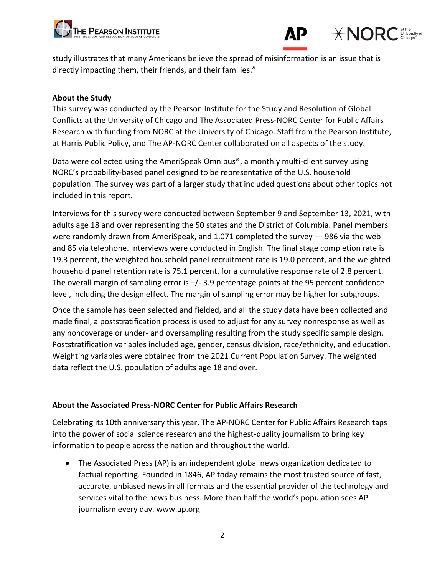





study illustrates that many Americans believe the spread of misinformation is an issue that is directly impacting them, their friends, and their families."

#### **About the Study**

This survey was conducted by the Pearson Institute for the Study and Resolution of Global Conflicts at the University of Chicago and The Associated Press-NORC Center for Public Affairs Research with funding from NORC at the University of Chicago. Staff from the Pearson Institute, at Harris Public Policy, and The AP-NORC Center collaborated on all aspects of the study.

Data were collected using the AmeriSpeak Omnibus®, a monthly multi-client survey using NORC's probability-based panel designed to be representative of the U.S. household population. The survey was part of a larger study that included questions about other topics not included in this report.

Interviews for this survey were conducted between September 9 and September 13, 2021, with adults age 18 and over representing the 50 states and the District of Columbia. Panel members were randomly drawn from AmeriSpeak, and 1,071 completed the survey — 986 via the web and 85 via telephone. Interviews were conducted in English. The final stage completion rate is 19.3 percent, the weighted household panel recruitment rate is 19.0 percent, and the weighted household panel retention rate is 75.1 percent, for a cumulative response rate of 2.8 percent. The overall margin of sampling error is +/- 3.9 percentage points at the 95 percent confidence level, including the design effect. The margin of sampling error may be higher for subgroups.

Once the sample has been selected and fielded, and all the study data have been collected and made final, a poststratification process is used to adjust for any survey nonresponse as well as any noncoverage or under- and oversampling resulting from the study specific sample design. Poststratification variables included age, gender, census division, race/ethnicity, and education. Weighting variables were obtained from the 2021 Current Population Survey. The weighted data reflect the U.S. population of adults age 18 and over.

### **About the Associated Press-NORC Center for Public Affairs Research**

Celebrating its 10th anniversary this year, The AP-NORC Center for Public Affairs Research taps into the power of social science research and the highest-quality journalism to bring key information to people across the nation and throughout the world.

• The Associated Press (AP) is an independent global news organization dedicated to factual reporting. Founded in 1846, AP today remains the most trusted source of fast, accurate, unbiased news in all formats and the essential provider of the technology and services vital to the news business. More than half the world's population sees AP journalism every day. www.ap.org